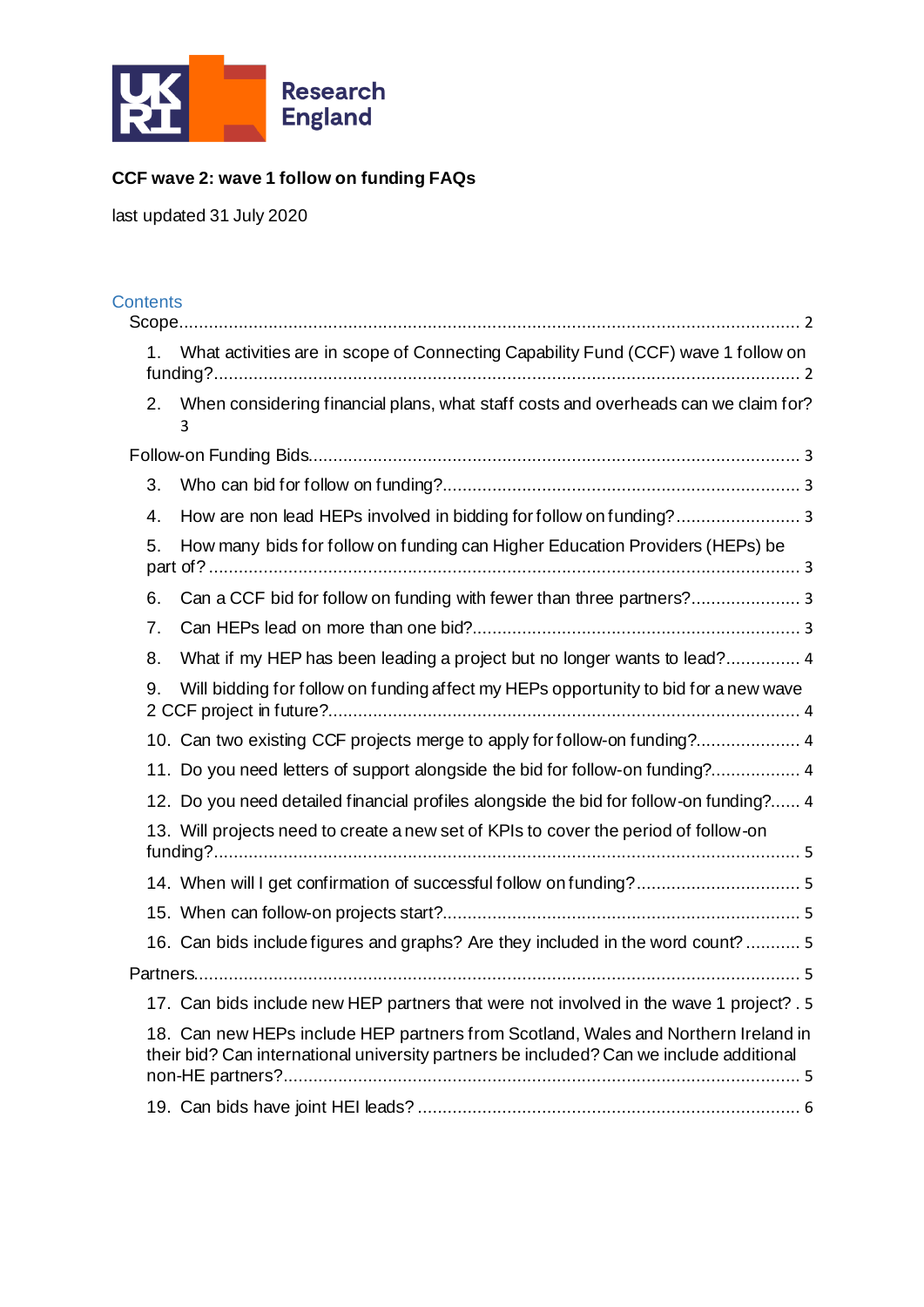

# **CCF wave 2: wave 1 follow on funding FAQs**

last updated 31 July 2020

| <b>Contents</b> |                                                                                                                                                                               |
|-----------------|-------------------------------------------------------------------------------------------------------------------------------------------------------------------------------|
| 1.              | What activities are in scope of Connecting Capability Fund (CCF) wave 1 follow on                                                                                             |
|                 | 2. When considering financial plans, what staff costs and overheads can we claim for?<br>3                                                                                    |
|                 |                                                                                                                                                                               |
| 3.              |                                                                                                                                                                               |
| 4.              | How are non lead HEPs involved in bidding for follow on funding? 3                                                                                                            |
| 5.              | How many bids for follow on funding can Higher Education Providers (HEPs) be                                                                                                  |
| 6.              | Can a CCF bid for follow on funding with fewer than three partners? 3                                                                                                         |
| 7.              |                                                                                                                                                                               |
| 8.              | What if my HEP has been leading a project but no longer wants to lead? 4                                                                                                      |
| 9.              | Will bidding for follow on funding affect my HEPs opportunity to bid for a new wave                                                                                           |
|                 | 10. Can two existing CCF projects merge to apply for follow-on funding? 4                                                                                                     |
|                 | 11. Do you need letters of support alongside the bid for follow-on funding? 4                                                                                                 |
|                 | 12. Do you need detailed financial profiles alongside the bid for follow-on funding? 4                                                                                        |
|                 | 13. Will projects need to create a new set of KPIs to cover the period of follow-on                                                                                           |
|                 | 14. When will I get confirmation of successful follow on funding? 5                                                                                                           |
|                 |                                                                                                                                                                               |
|                 | 16. Can bids include figures and graphs? Are they included in the word count?  5                                                                                              |
|                 |                                                                                                                                                                               |
|                 | 17. Can bids include new HEP partners that were not involved in the wave 1 project? . 5                                                                                       |
|                 | 18. Can new HEPs include HEP partners from Scotland, Wales and Northern Ireland in<br>their bid? Can international university partners be included? Can we include additional |
|                 |                                                                                                                                                                               |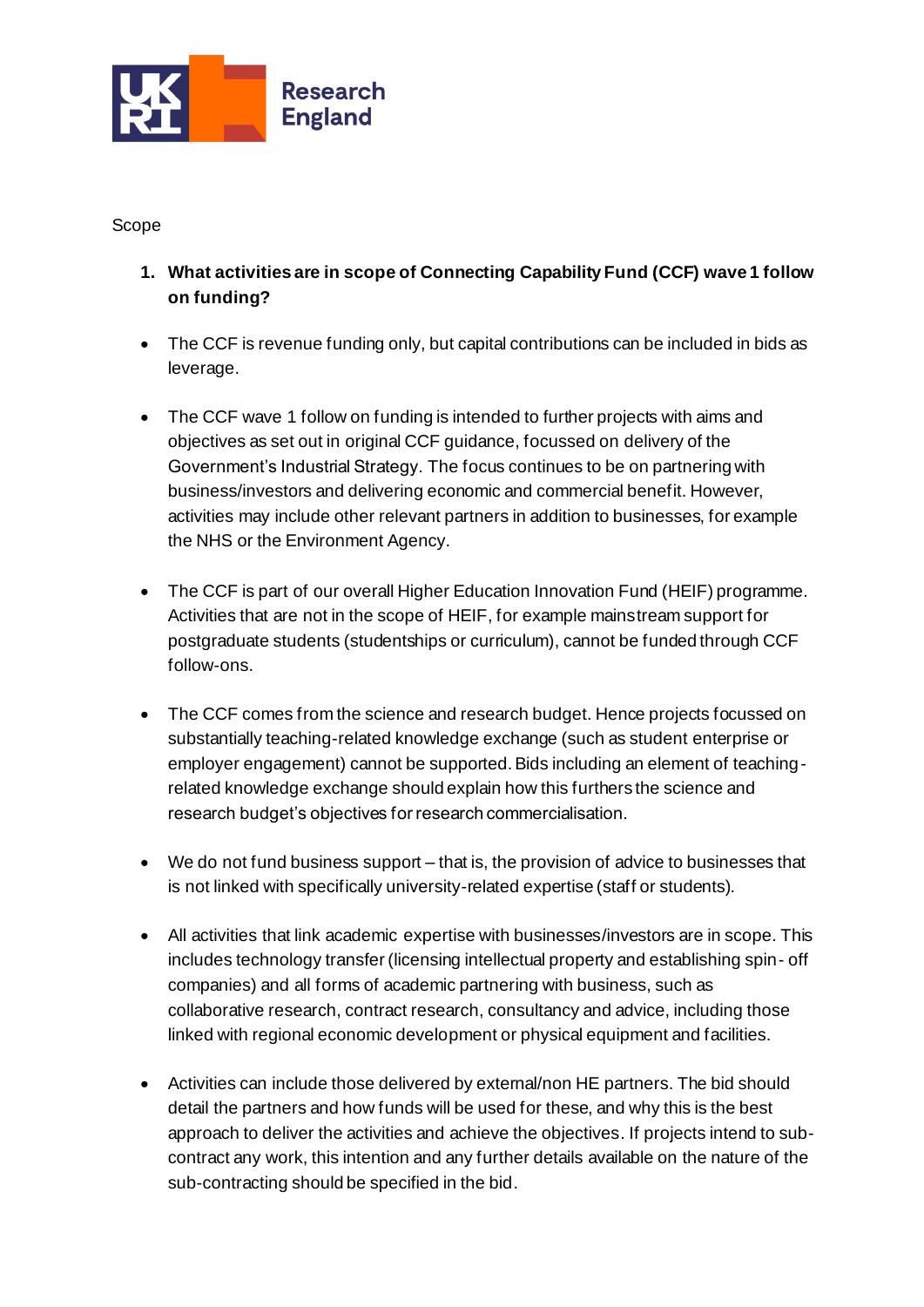

#### <span id="page-1-0"></span>Scope

- <span id="page-1-1"></span>**1. What activities are in scope of Connecting Capability Fund (CCF) wave 1 follow on funding?**
- The CCF is revenue funding only, but capital contributions can be included in bids as leverage.
- The CCF wave 1 follow on funding is intended to further projects with aims and objectives as set out in original CCF guidance, focussed on delivery of the Government's Industrial Strategy. The focus continues to be on partnering with business/investors and delivering economic and commercial benefit. However, activities may include other relevant partners in addition to businesses, for example the NHS or the Environment Agency.
- The CCF is part of our overall Higher Education Innovation Fund (HEIF) programme. Activities that are not in the scope of HEIF, for example mainstream support for postgraduate students (studentships or curriculum), cannot be funded through CCF follow-ons.
- The CCF comes from the science and research budget. Hence projects focussed on substantially teaching-related knowledge exchange (such as student enterprise or employer engagement) cannot be supported. Bids including an element of teachingrelated knowledge exchange should explain how this furthers the science and research budget's objectives for research commercialisation.
- We do not fund business support that is, the provision of advice to businesses that is not linked with specifically university-related expertise (staff or students).
- All activities that link academic expertise with businesses/investors are in scope. This includes technology transfer (licensing intellectual property and establishing spin- off companies) and all forms of academic partnering with business, such as collaborative research, contract research, consultancy and advice, including those linked with regional economic development or physical equipment and facilities.
- Activities can include those delivered by external/non HE partners. The bid should detail the partners and how funds will be used for these, and why this is the best approach to deliver the activities and achieve the objectives. If projects intend to subcontract any work, this intention and any further details available on the nature of the sub-contracting should be specified in the bid.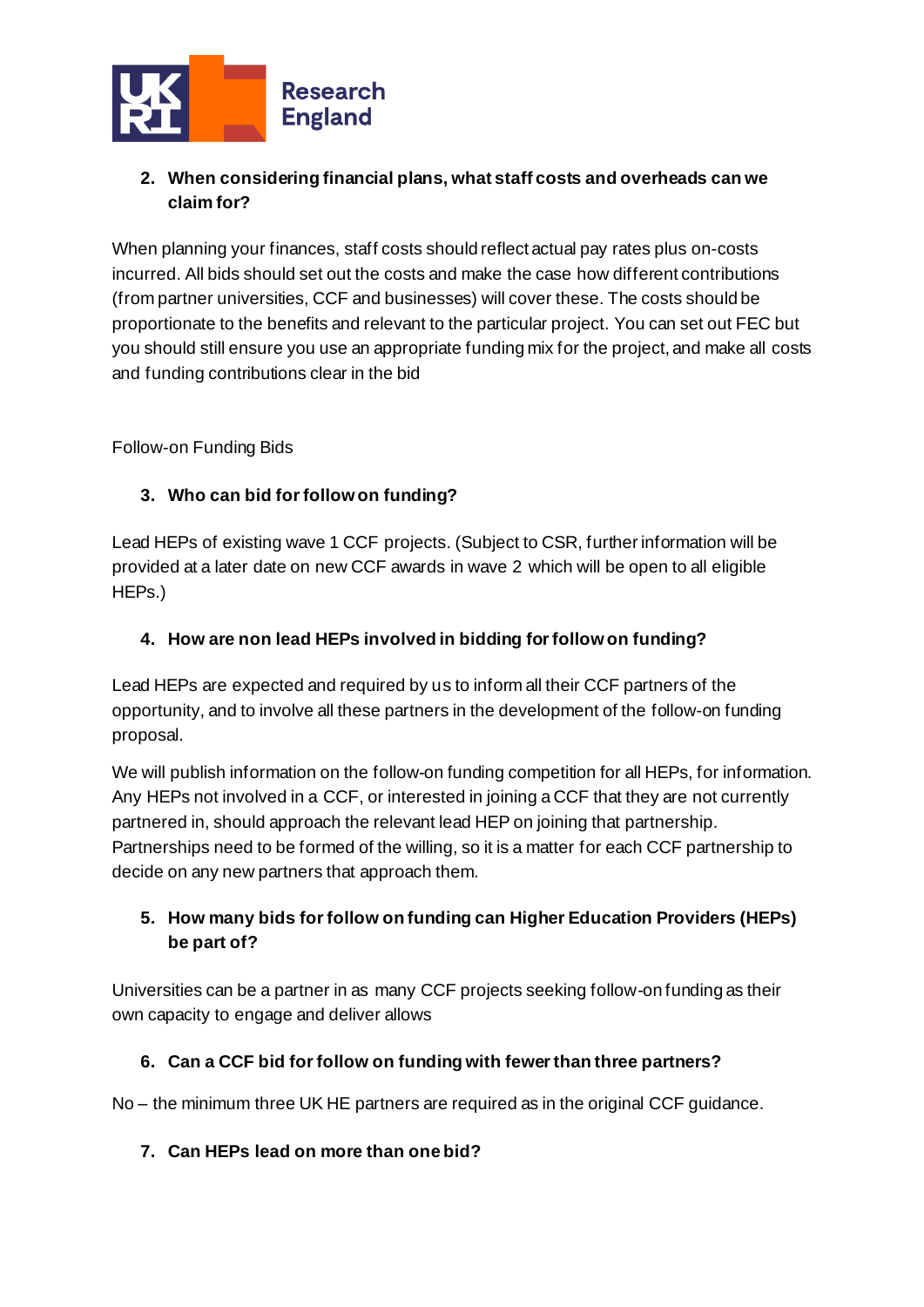

### <span id="page-2-0"></span>**2. When considering financial plans, what staff costs and overheads can we claim for?**

When planning your finances, staff costs should reflect actual pay rates plus on-costs incurred. All bids should set out the costs and make the case how different contributions (from partner universities, CCF and businesses) will cover these. The costs should be proportionate to the benefits and relevant to the particular project. You can set out FEC but you should still ensure you use an appropriate funding mix for the project, and make all costs and funding contributions clear in the bid

<span id="page-2-1"></span>Follow-on Funding Bids

### <span id="page-2-2"></span>**3. Who can bid for follow on funding?**

Lead HEPs of existing wave 1 CCF projects. (Subject to CSR, further information will be provided at a later date on new CCF awards in wave 2 which will be open to all eligible HEPs.)

### <span id="page-2-3"></span>**4. How are non lead HEPs involved in bidding for follow on funding?**

Lead HEPs are expected and required by us to inform all their CCF partners of the opportunity, and to involve all these partners in the development of the follow-on funding proposal.

We will publish information on the follow-on funding competition for all HEPs, for information. Any HEPs not involved in a CCF, or interested in joining a CCF that they are not currently partnered in, should approach the relevant lead HEP on joining that partnership. Partnerships need to be formed of the willing, so it is a matter for each CCF partnership to decide on any new partners that approach them.

### <span id="page-2-4"></span>**5. How many bids for follow on funding can Higher Education Providers (HEPs) be part of?**

Universities can be a partner in as many CCF projects seeking follow-on funding as their own capacity to engage and deliver allows

### <span id="page-2-5"></span>**6. Can a CCF bid for follow on funding with fewer than three partners?**

<span id="page-2-6"></span>No – the minimum three UK HE partners are required as in the original CCF guidance.

#### **7. Can HEPs lead on more than one bid?**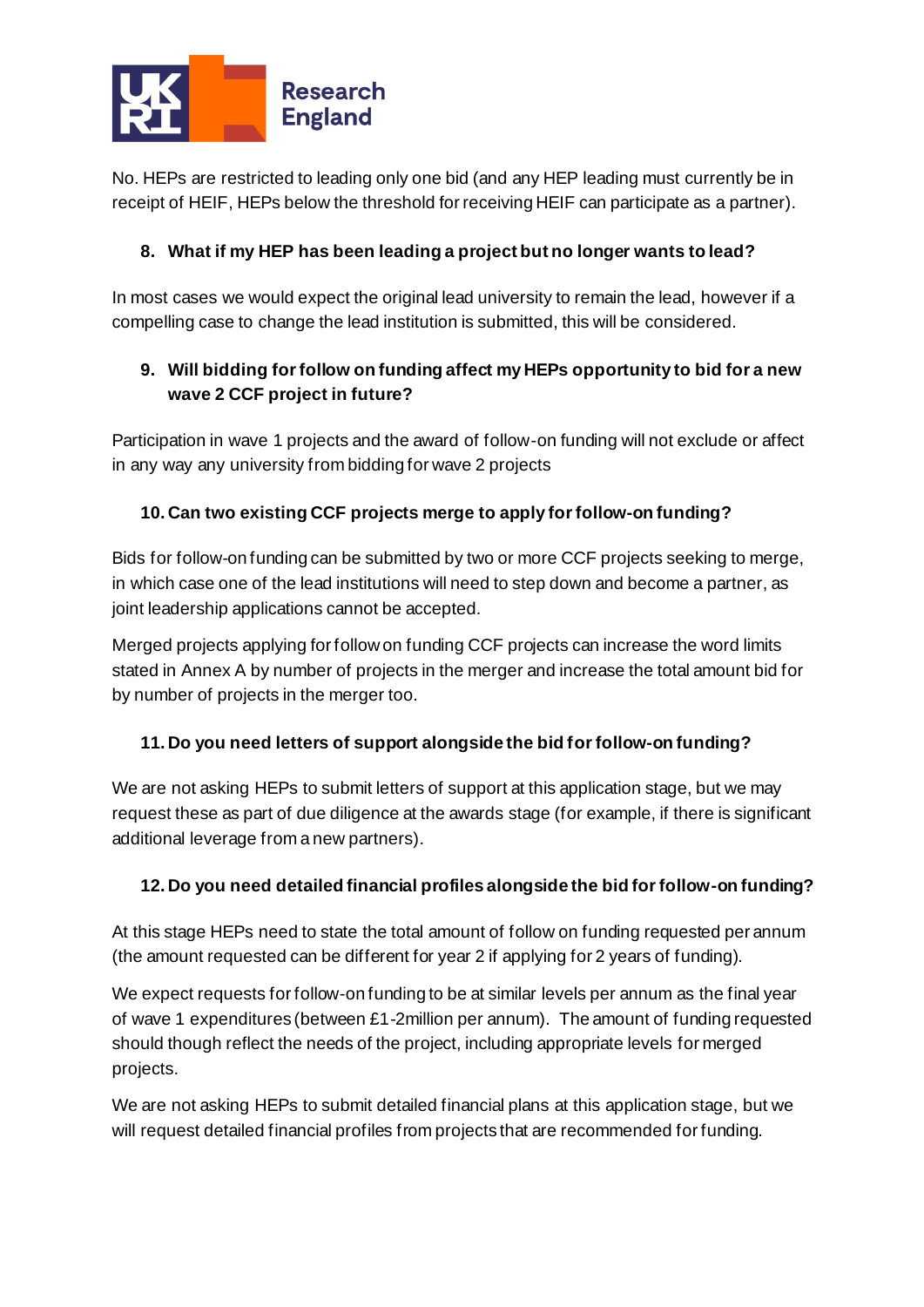

No. HEPs are restricted to leading only one bid (and any HEP leading must currently be in receipt of HEIF, HEPs below the threshold for receiving HEIF can participate as a partner).

### <span id="page-3-0"></span>**8. What if my HEP has been leading a project but no longer wants to lead?**

In most cases we would expect the original lead university to remain the lead, however if a compelling case to change the lead institution is submitted, this will be considered.

## <span id="page-3-1"></span>**9. Will bidding for follow on funding affect my HEPs opportunity to bid for a new wave 2 CCF project in future?**

Participation in wave 1 projects and the award of follow-on funding will not exclude or affect in any way any university from bidding for wave 2 projects

### <span id="page-3-2"></span>**10. Can two existing CCF projects merge to apply for follow-on funding?**

Bids for follow-on funding can be submitted by two or more CCF projects seeking to merge, in which case one of the lead institutions will need to step down and become a partner, as joint leadership applications cannot be accepted.

Merged projects applying for follow on funding CCF projects can increase the word limits stated in Annex A by number of projects in the merger and increase the total amount bid for by number of projects in the merger too.

### <span id="page-3-3"></span>**11. Do you need letters of support alongside the bid for follow-on funding?**

We are not asking HEPs to submit letters of support at this application stage, but we may request these as part of due diligence at the awards stage (for example, if there is significant additional leverage from a new partners).

## <span id="page-3-4"></span>**12. Do you need detailed financial profiles alongside the bid for follow-on funding?**

At this stage HEPs need to state the total amount of follow on funding requested per annum (the amount requested can be different for year 2 if applying for 2 years of funding).

We expect requests for follow-on funding to be at similar levels per annum as the final year of wave 1 expenditures (between £1-2million per annum). The amount of funding requested should though reflect the needs of the project, including appropriate levels for merged projects.

We are not asking HEPs to submit detailed financial plans at this application stage, but we will request detailed financial profiles from projects that are recommended for funding.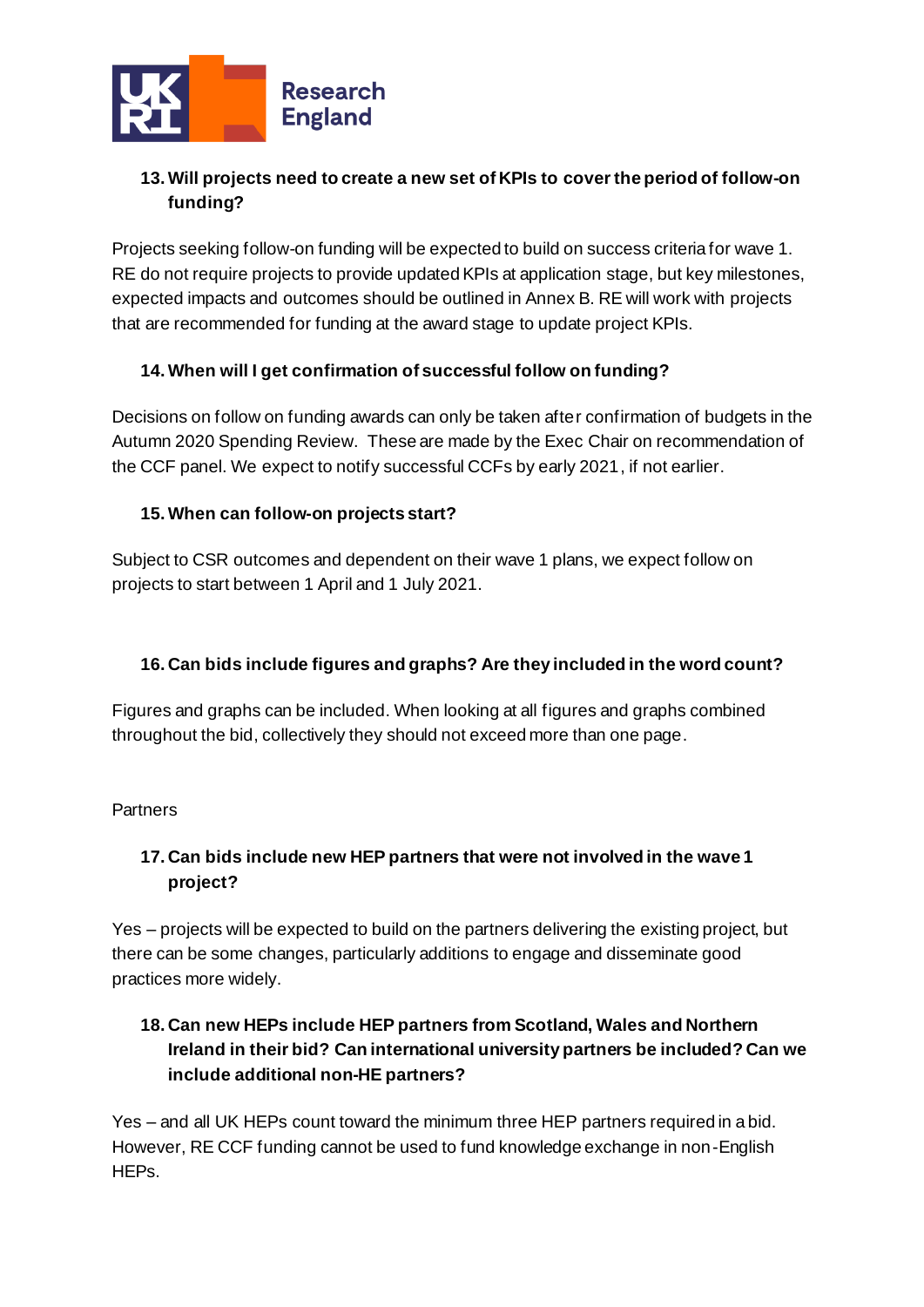

## <span id="page-4-0"></span>**13.Will projects need to create a new set of KPIs to cover the period of follow-on funding?**

Projects seeking follow-on funding will be expected to build on success criteria for wave 1. RE do not require projects to provide updated KPIs at application stage, but key milestones, expected impacts and outcomes should be outlined in Annex B. RE will work with projects that are recommended for funding at the award stage to update project KPIs.

### <span id="page-4-1"></span>**14.When will I get confirmation of successful follow on funding?**

Decisions on follow on funding awards can only be taken after confirmation of budgets in the Autumn 2020 Spending Review. These are made by the Exec Chair on recommendation of the CCF panel. We expect to notify successful CCFs by early 2021, if not earlier.

### <span id="page-4-2"></span>**15.When can follow-on projects start?**

Subject to CSR outcomes and dependent on their wave 1 plans, we expect follow on projects to start between 1 April and 1 July 2021.

### <span id="page-4-3"></span>**16. Can bids include figures and graphs? Are they included in the word count?**

Figures and graphs can be included. When looking at all figures and graphs combined throughout the bid, collectively they should not exceed more than one page.

### <span id="page-4-4"></span>**Partners**

### <span id="page-4-5"></span>**17. Can bids include new HEP partners that were not involved in the wave 1 project?**

Yes – projects will be expected to build on the partners delivering the existing project, but there can be some changes, particularly additions to engage and disseminate good practices more widely.

### <span id="page-4-6"></span>**18. Can new HEPs include HEP partners from Scotland, Wales and Northern Ireland in their bid? Can international university partners be included? Can we include additional non-HE partners?**

Yes – and all UK HEPs count toward the minimum three HEP partners required in a bid. However, RE CCF funding cannot be used to fund knowledge exchange in non-English HEPs.